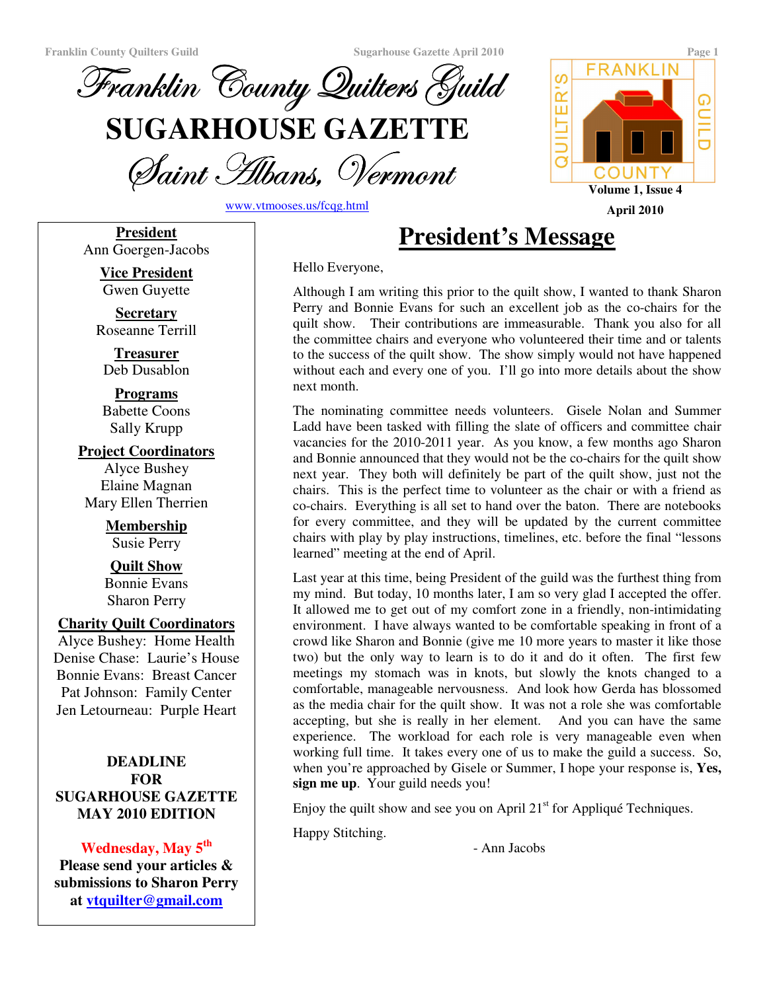

Saint Albans, Vermoni

www.vtmooses.us/fcqg.html

**FRANKLIN** ဖ QUILTER' ⋒ COUNTY **Volume 1, Issue 4 April 2010**

**President** Ann Goergen-Jacobs

> **Vice President** Gwen Guyette

**Secretary** Roseanne Terrill

**Treasurer** Deb Dusablon

**Programs** Babette Coons Sally Krupp

**Project Coordinators** Alyce Bushey Elaine Magnan Mary Ellen Therrien

> **Membership** Susie Perry

**Quilt Show** Bonnie Evans Sharon Perry

#### **Charity Quilt Coordinators**

Alyce Bushey: Home Health Denise Chase: Laurie's House Bonnie Evans: Breast Cancer Pat Johnson: Family Center Jen Letourneau: Purple Heart

## **DEADLINE FOR SUGARHOUSE GAZETTE MAY 2010 EDITION**

**Wednesday, May 5 th Please send your articles & submissions to Sharon Perry at vtquilter@gmail.com**

# **President's Message**

Hello Everyone,

Although I am writing this prior to the quilt show, I wanted to thank Sharon Perry and Bonnie Evans for such an excellent job as the co-chairs for the quilt show. Their contributions are immeasurable. Thank you also for all the committee chairs and everyone who volunteered their time and or talents to the success of the quilt show. The show simply would not have happened without each and every one of you. I'll go into more details about the show next month.

The nominating committee needs volunteers. Gisele Nolan and Summer Ladd have been tasked with filling the slate of officers and committee chair vacancies for the 2010-2011 year. As you know, a few months ago Sharon and Bonnie announced that they would not be the co-chairs for the quilt show next year. They both will definitely be part of the quilt show, just not the chairs. This is the perfect time to volunteer as the chair or with a friend as co-chairs. Everything is all set to hand over the baton. There are notebooks for every committee, and they will be updated by the current committee chairs with play by play instructions, timelines, etc. before the final "lessons learned" meeting at the end of April.

Last year at this time, being President of the guild was the furthest thing from my mind. But today, 10 months later, I am so very glad I accepted the offer. It allowed me to get out of my comfort zone in a friendly, non-intimidating environment. I have always wanted to be comfortable speaking in front of a crowd like Sharon and Bonnie (give me 10 more years to master it like those two) but the only way to learn is to do it and do it often. The first few meetings my stomach was in knots, but slowly the knots changed to a comfortable, manageable nervousness. And look how Gerda has blossomed as the media chair for the quilt show. It was not a role she was comfortable accepting, but she is really in her element. And you can have the same experience. The workload for each role is very manageable even when working full time. It takes every one of us to make the guild a success. So, when you're approached by Gisele or Summer, I hope your response is, **Yes, sign me up**. Your guild needs you!

Enjoy the quilt show and see you on April  $21<sup>st</sup>$  for Appliqué Techniques.

Happy Stitching.

- Ann Jacobs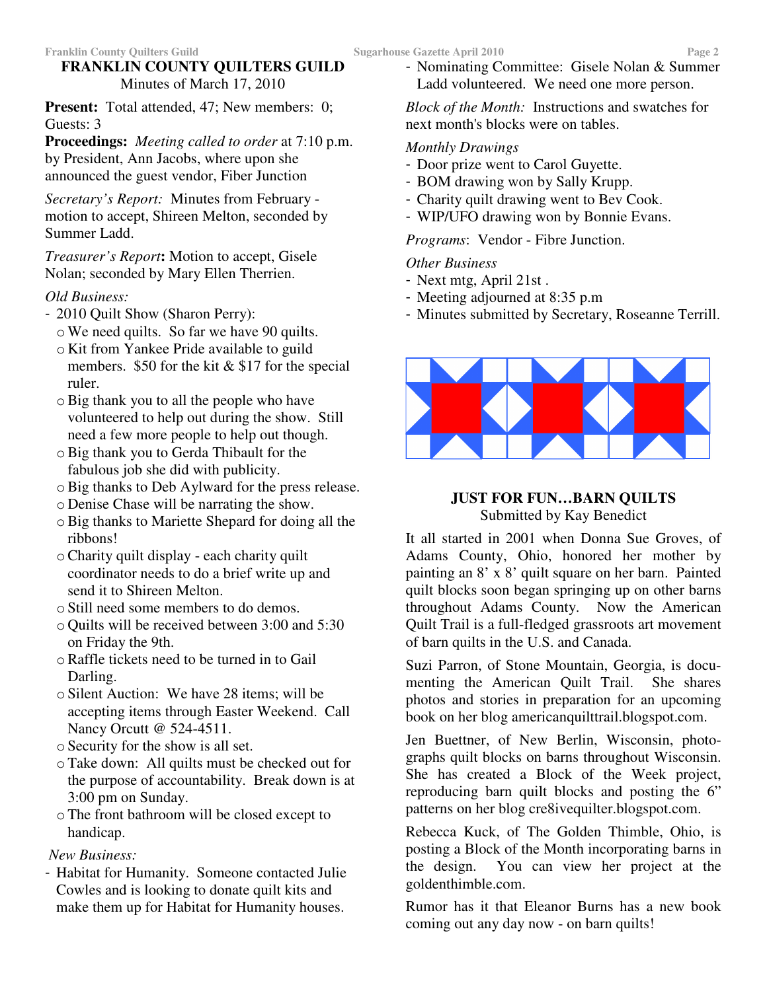# **FRANKLIN COUNTY QUILTERS GUILD** Minutes of March 17, 2010

**Present:** Total attended, 47; New members: 0; Guests: 3

**Proceedings:** *Meeting called to order* at 7:10 p.m. by President, Ann Jacobs, where upon she announced the guest vendor, Fiber Junction

*Secretary's Report:* Minutes from February motion to accept, Shireen Melton, seconded by Summer Ladd.

*Treasurer's Report***:** Motion to accept, Gisele Nolan; seconded by Mary Ellen Therrien.

# *Old Business:*

- 2010 Quilt Show (Sharon Perry):
	- oWe need quilts. So far we have 90 quilts.
	- o Kit from Yankee Pride available to guild members. \$50 for the kit  $&$  \$17 for the special ruler.
	- oBig thank you to all the people who have volunteered to help out during the show. Still need a few more people to help out though.
	- oBig thank you to Gerda Thibault for the fabulous job she did with publicity.
	- oBig thanks to Deb Aylward for the press release.
	- o Denise Chase will be narrating the show.
	- oBig thanks to Mariette Shepard for doing all the ribbons!
	- oCharity quilt display each charity quilt coordinator needs to do a brief write up and send it to Shireen Melton.
	- o Still need some members to do demos.
	- o Quilts will be received between 3:00 and 5:30 on Friday the 9th.
	- oRaffle tickets need to be turned in to Gail Darling.
	- o Silent Auction: We have 28 items; will be accepting items through Easter Weekend. Call Nancy Orcutt @ 524-4511.
	- o Security for the show is all set.
	- oTake down: All quilts must be checked out for the purpose of accountability. Break down is at 3:00 pm on Sunday.
	- oThe front bathroom will be closed except to handicap.
- *New Business:*
- Habitat for Humanity. Someone contacted Julie Cowles and is looking to donate quilt kits and make them up for Habitat for Humanity houses.

- Nominating Committee: Gisele Nolan & Summer Ladd volunteered. We need one more person.

*Block of the Month:* Instructions and swatches for next month's blocks were on tables.

# *Monthly Drawings*

- Door prize went to Carol Guyette.
- BOM drawing won by Sally Krupp.
- Charity quilt drawing went to Bev Cook.
- WIP/UFO drawing won by Bonnie Evans.

*Programs*: Vendor - Fibre Junction.

# *Other Business*

- Next mtg, April 21st .
- Meeting adjourned at 8:35 p.m
- Minutes submitted by Secretary, Roseanne Terrill.



## **JUST FOR FUN…BARN QUILTS** Submitted by Kay Benedict

It all started in 2001 when Donna Sue Groves, of Adams County, Ohio, honored her mother by painting an 8' x 8' quilt square on her barn. Painted quilt blocks soon began springing up on other barns throughout Adams County. Now the American Quilt Trail is a full-fledged grassroots art movement of barn quilts in the U.S. and Canada.

Suzi Parron, of Stone Mountain, Georgia, is documenting the American Quilt Trail. She shares photos and stories in preparation for an upcoming book on her blog americanquilttrail.blogspot.com.

Jen Buettner, of New Berlin, Wisconsin, photographs quilt blocks on barns throughout Wisconsin. She has created a Block of the Week project, reproducing barn quilt blocks and posting the 6" patterns on her blog cre8ivequilter.blogspot.com.

Rebecca Kuck, of The Golden Thimble, Ohio, is posting a Block of the Month incorporating barns in the design. You can view her project at the goldenthimble.com.

Rumor has it that Eleanor Burns has a new book coming out any day now - on barn quilts!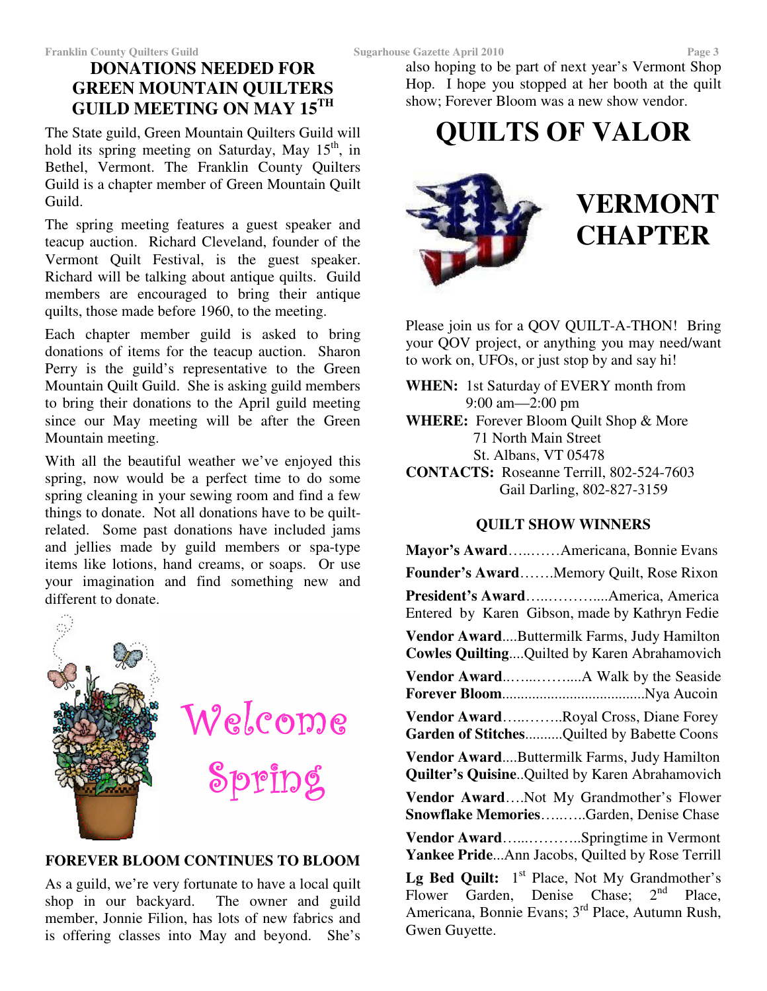# **DONATIONS NEEDED FOR GREEN MOUNTAIN QUILTERS GUILD MEETING ON MAY 15 TH**

The State guild, Green Mountain Quilters Guild will hold its spring meeting on Saturday, May 15<sup>th</sup>, in Bethel, Vermont. The Franklin County Quilters Guild is a chapter member of Green Mountain Quilt Guild.

The spring meeting features a guest speaker and teacup auction. Richard Cleveland, founder of the Vermont Quilt Festival, is the guest speaker. Richard will be talking about antique quilts. Guild members are encouraged to bring their antique quilts, those made before 1960, to the meeting.

Each chapter member guild is asked to bring donations of items for the teacup auction. Sharon Perry is the guild's representative to the Green Mountain Quilt Guild. She is asking guild members to bring their donations to the April guild meeting since our May meeting will be after the Green Mountain meeting.

With all the beautiful weather we've enjoyed this spring, now would be a perfect time to do some spring cleaning in your sewing room and find a few things to donate. Not all donations have to be quiltrelated. Some past donations have included jams and jellies made by guild members or spa-type items like lotions, hand creams, or soaps. Or use your imagination and find something new and different to donate.



# Welcome Spring

# **FOREVER BLOOM CONTINUES TO BLOOM**

As a guild, we're very fortunate to have a local quilt shop in our backyard. The owner and guild member, Jonnie Filion, has lots of new fabrics and is offering classes into May and beyond. She's

also hoping to be part of next year's Vermont Shop Hop. I hope you stopped at her booth at the quilt show; Forever Bloom was a new show vendor.

# **QUILTS OF VALOR**



# **VERMONT CHAPTER**

Please join us for a QOV QUILT-A-THON! Bring your QOV project, or anything you may need/want to work on, UFOs, or just stop by and say hi!

**WHEN:** 1st Saturday of EVERY month from 9:00 am—2:00 pm **WHERE:** Forever Bloom Quilt Shop & More 71 North Main Street St. Albans, VT 05478

**CONTACTS:** Roseanne Terrill, 802-524-7603 Gail Darling, 802-827-3159

# **QUILT SHOW WINNERS**

| Mayor's AwardAmericana, Bonnie Evans                                                                                                                                   |
|------------------------------------------------------------------------------------------------------------------------------------------------------------------------|
| Founder's AwardMemory Quilt, Rose Rixon                                                                                                                                |
| President's AwardAmerica, America<br>Entered by Karen Gibson, made by Kathryn Fedie                                                                                    |
| Vendor AwardButtermilk Farms, Judy Hamilton<br>Cowles Quilting Quilted by Karen Abrahamovich                                                                           |
|                                                                                                                                                                        |
| Vendor AwardRoyal Cross, Diane Forey<br>Garden of StitchesQuilted by Babette Coons                                                                                     |
| Vendor AwardButtermilk Farms, Judy Hamilton<br>Quilter's QuisineQuilted by Karen Abrahamovich                                                                          |
| Vendor AwardNot My Grandmother's Flower<br>Snowflake MemoriesGarden, Denise Chase                                                                                      |
| Vendor AwardSpringtime in Vermont<br>Yankee PrideAnn Jacobs, Quilted by Rose Terrill                                                                                   |
| Lg Bed Quilt: 1 <sup>st</sup> Place, Not My Grandmother's<br>Flower Garden, Denise Chase; $2nd$ Place,<br>Americana, Bonnie Evans; 3 <sup>rd</sup> Place, Autumn Rush, |

Gwen Guyette.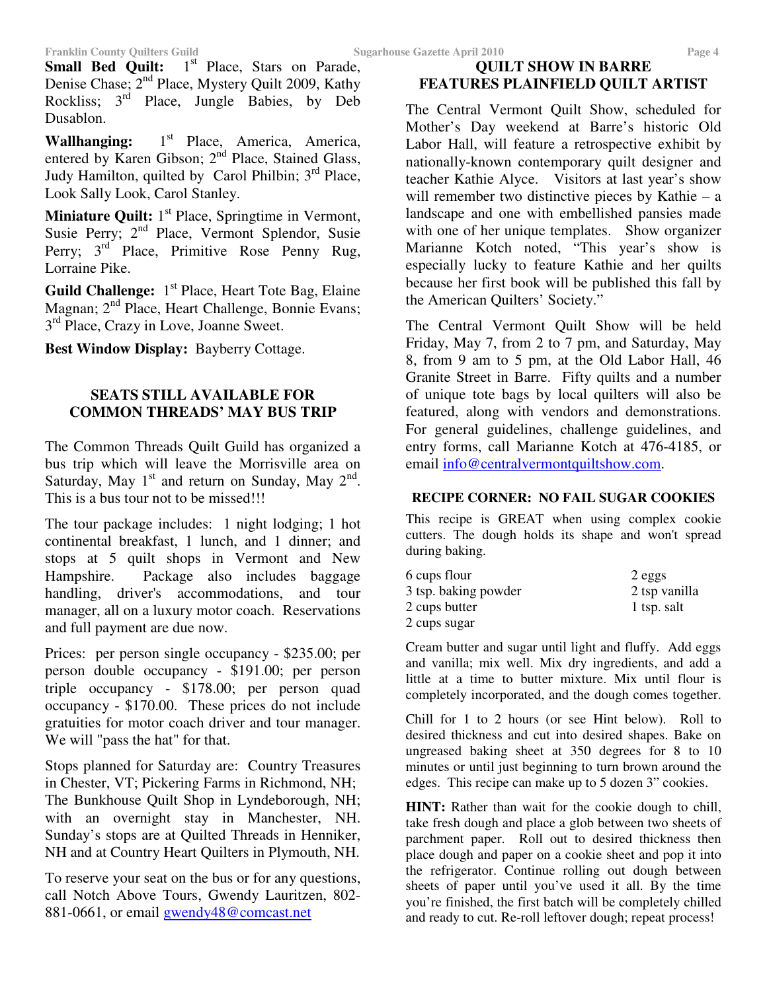Small Bed Quilt: 1<sup>st</sup> Place, Stars on Parade, Denise Chase; 2<sup>nd</sup> Place, Mystery Quilt 2009, Kathy Rockliss; 3<sup>rd</sup> Place, Jungle Babies, by Deb Dusablon.

Wallhanging: 1<sup>st</sup> Place, America, America, entered by Karen Gibson; 2<sup>nd</sup> Place, Stained Glass, Judy Hamilton, quilted by Carol Philbin; 3<sup>rd</sup> Place, Look Sally Look, Carol Stanley.

**Miniature Quilt:** 1<sup>st</sup> Place, Springtime in Vermont, Susie Perry; 2<sup>nd</sup> Place, Vermont Splendor, Susie Perry; 3<sup>rd</sup> Place, Primitive Rose Penny Rug, Lorraine Pike.

Guild Challenge: 1<sup>st</sup> Place, Heart Tote Bag, Elaine Magnan; 2<sup>nd</sup> Place, Heart Challenge, Bonnie Evans; 3<sup>rd</sup> Place, Crazy in Love, Joanne Sweet.

**Best Window Display:** Bayberry Cottage.

### **SEATS STILL AVAILABLE FOR COMMON THREADS' MAY BUS TRIP**

The Common Threads Quilt Guild has organized a bus trip which will leave the Morrisville area on Saturday, May  $1<sup>st</sup>$  and return on Sunday, May  $2<sup>nd</sup>$ . This is a bus tour not to be missed!!!

The tour package includes: 1 night lodging; 1 hot continental breakfast, 1 lunch, and 1 dinner; and stops at 5 quilt shops in Vermont and New Hampshire. Package also includes baggage handling, driver's accommodations, and tour manager, all on a luxury motor coach. Reservations and full payment are due now.

Prices: per person single occupancy - \$235.00; per person double occupancy - \$191.00; per person triple occupancy - \$178.00; per person quad occupancy - \$170.00. These prices do not include gratuities for motor coach driver and tour manager. We will "pass the hat" for that.

Stops planned for Saturday are: Country Treasures in Chester, VT; Pickering Farms in Richmond, NH; The Bunkhouse Quilt Shop in Lyndeborough, NH; with an overnight stay in Manchester, NH. Sunday's stops are at Quilted Threads in Henniker, NH and at Country Heart Quilters in Plymouth, NH.

To reserve your seat on the bus or for any questions, call Notch Above Tours, Gwendy Lauritzen, 802- 881-0661, or email gwendy48@comcast.net

## **QUILT SHOW IN BARRE FEATURES PLAINFIELD QUILT ARTIST**

The Central Vermont Quilt Show, scheduled for Mother's Day weekend at Barre's historic Old Labor Hall, will feature a retrospective exhibit by nationally-known contemporary quilt designer and teacher Kathie Alyce. Visitors at last year's show will remember two distinctive pieces by Kathie – a landscape and one with embellished pansies made with one of her unique templates. Show organizer Marianne Kotch noted, "This year's show is especially lucky to feature Kathie and her quilts because her first book will be published this fall by the American Quilters' Society."

The Central Vermont Quilt Show will be held Friday, May 7, from 2 to 7 pm, and Saturday, May 8, from 9 am to 5 pm, at the Old Labor Hall, 46 Granite Street in Barre. Fifty quilts and a number of unique tote bags by local quilters will also be featured, along with vendors and demonstrations. For general guidelines, challenge guidelines, and entry forms, call Marianne Kotch at 476-4185, or email info@centralvermontquiltshow.com.

### **RECIPE CORNER: NO FAIL SUGAR COOKIES**

This recipe is GREAT when using complex cookie cutters. The dough holds its shape and won't spread during baking.

| 6 cups flour         | 2 eggs        |
|----------------------|---------------|
| 3 tsp. baking powder | 2 tsp vanilla |
| 2 cups butter        | 1 tsp. salt   |
| 2 cups sugar         |               |

Cream butter and sugar until light and fluffy. Add eggs and vanilla; mix well. Mix dry ingredients, and add a little at a time to butter mixture. Mix until flour is completely incorporated, and the dough comes together.

Chill for 1 to 2 hours (or see Hint below). Roll to desired thickness and cut into desired shapes. Bake on ungreased baking sheet at 350 degrees for 8 to 10 minutes or until just beginning to turn brown around the edges. This recipe can make up to 5 dozen 3" cookies.

**HINT:** Rather than wait for the cookie dough to chill, take fresh dough and place a glob between two sheets of parchment paper. Roll out to desired thickness then place dough and paper on a cookie sheet and pop it into the refrigerator. Continue rolling out dough between sheets of paper until you've used it all. By the time you're finished, the first batch will be completely chilled and ready to cut. Re-roll leftover dough; repeat process!